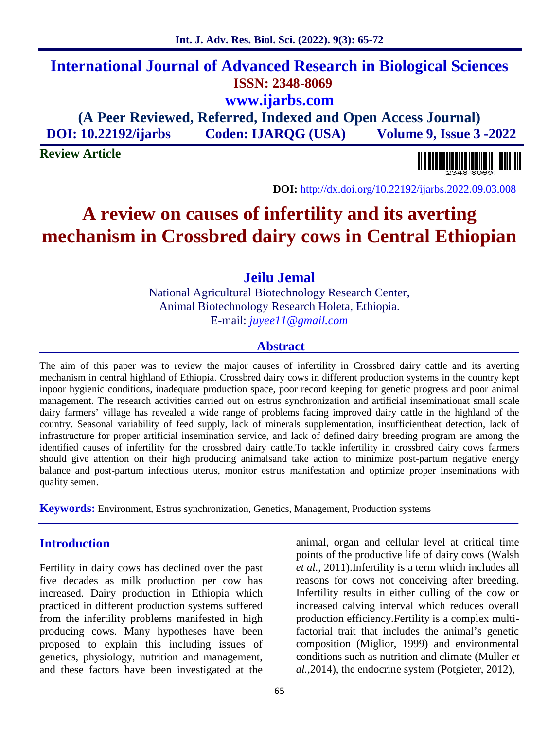# **International Journal of Advanced Research in Biological Sciences ISSN: 2348-8069 www.ijarbs.com**

**(A Peer Reviewed, Referred, Indexed and Open Access Journal) DOI: 10.22192/ijarbs Coden: IJARQG (USA) Volume 9, Issue 3 -2022**

**Review Article**

**DOI:** http://dx.doi.org/10.22192/ijarbs.2022.09.03.008

# **A review on causes of infertility and its averting mechanism in Crossbred dairy cows in Central Ethiopian**

## **Jeilu Jemal**

National Agricultural Biotechnology Research Center, Animal Biotechnology Research Holeta, Ethiopia. E-mail: *juyee11@gmail.com*

#### **Abstract**

The aim of this paper was to review the major causes of infertility in Crossbred dairy cattle and its averting mechanism in central highland of Ethiopia. Crossbred dairy cows in different production systems in the country kept inpoor hygienic conditions, inadequate production space, poor record keeping for genetic progress and poor animal management. The research activities carried out on estrus synchronization and artificial inseminationat small scale dairy farmers' village has revealed a wide range of problems facing improved dairy cattle in the highland of the country. Seasonal variability of feed supply, lack of minerals supplementation, insufficientheat detection, lack of infrastructure for proper artificial insemination service, and lack of defined dairy breeding program are among the identified causes of infertility for the crossbred dairy cattle.To tackle infertility in crossbred dairy cows farmers should give attention on their high producing animalsand take action to minimize post-partum negative energy balance and post-partum infectious uterus, monitor estrus manifestation and optimize proper inseminations with quality semen.

**Keywords:** Environment, Estrus synchronization, Genetics, Management, Production systems

#### **Introduction**

Fertility in dairy cows has declined over the past five decades as milk production per cow has increased. Dairy production in Ethiopia which practiced in different production systems suffered from the infertility problems manifested in high producing cows. Many hypotheses have been proposed to explain this including issues of genetics, physiology, nutrition and management, and these factors have been investigated at the

animal, organ and cellular level at critical time points of the productive life of dairy cows (Walsh *et al.,* 2011).Infertility is a term which includes all reasons for cows not conceiving after breeding. Infertility results in either culling of the cow or increased calving interval which reduces overall production efficiency.Fertility is a complex multifactorial trait that includes the animal's genetic composition (Miglior, 1999) and environmental conditions such as nutrition and climate (Muller *et al.,*2014), the endocrine system (Potgieter, 2012),

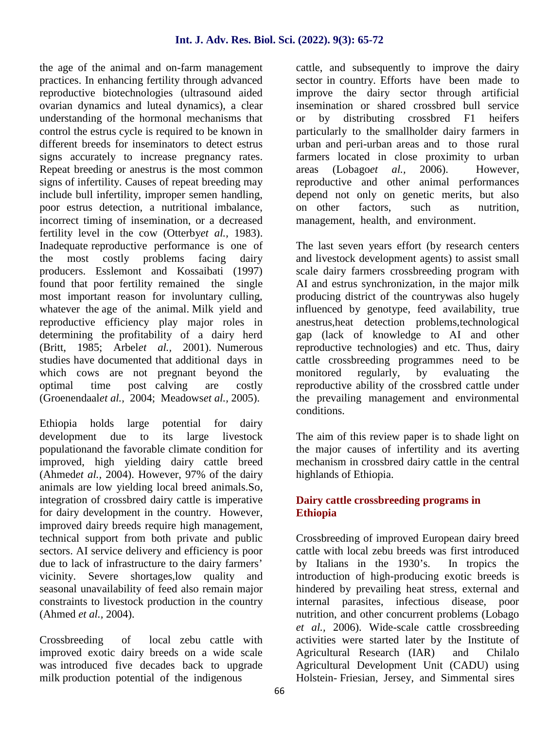the age of the animal and on-farm management practices. In enhancing fertility through advanced reproductive biotechnologies (ultrasound aided ovarian dynamics and luteal dynamics), a clear understanding of the hormonal mechanisms that control the estrus cycle is required to be known in different breeds for inseminators to detect estrus signs accurately to increase pregnancy rates. Repeat breeding or anestrus is the most common areas signs of infertility. Causes of repeat breeding may include bull infertility, improper semen handling, poor estrus detection, a nutritional imbalance, incorrect timing of insemination, or a decreased fertility level in the cow (Otterby*et al.,* 1983). Inadequate reproductive performance is one of the most costly problems facing dairy producers. Esslemont and Kossaibati (1997) found that poor fertility remained the single most important reason for involuntary culling, whatever the age of the animal. Milk yield and reproductive efficiency play major roles in determining the profitability of a dairy herd (Britt, 1985; Arbel*et al.,* 2001). Numerous studies have documented that additional days in which cows are not pregnant beyond the monitored optimal time post calving are costly (Groenendaal*et al.,* 2004; Meadows*et al.,* 2005).

Ethiopia holds large potential for dairy development due to its large livestock populationand the favorable climate condition for improved, high yielding dairy cattle breed (Ahmed*et al.,* 2004). However, 97% of the dairy animals are low yielding local breed animals.So, integration of crossbred dairy cattle is imperative for dairy development in the country. However, improved dairy breeds require high management, technical support from both private and public sectors. AI service delivery and efficiency is poor due to lack of infrastructure to the dairy farmers' vicinity. Severe shortages,low quality and seasonal unavailability of feed also remain major constraints to livestock production in the country (Ahmed *et al.,* 2004).

Crossbreeding of local zebu cattle with improved exotic dairy breeds on a wide scale was introduced five decades back to upgrade milk production potential of the indigenous

cattle, and subsequently to improve the dairy sector in country. Efforts have been made to improve the dairy sector through artificial insemination or shared crossbred bull service or by distributing crossbred F1 heifers particularly to the smallholder dairy farmers in urban and peri-urban areas and to those rural farmers located in close proximity to urban (Lobago*et al.*, 2006). However, reproductive and other animal performances depend not only on genetic merits, but also on other factors, such as nutrition, management, health, and environment.

The last seven years effort (by research centers and livestock development agents) to assist small scale dairy farmers crossbreeding program with AI and estrus synchronization, in the major milk producing district of the countrywas also hugely influenced by genotype, feed availability, true anestrus,heat detection problems,technological gap (lack of knowledge to AI and other reproductive technologies) and etc. Thus, dairy cattle crossbreeding programmes need to be regularly, by evaluating the reproductive ability of the crossbred cattle under the prevailing management and environmental conditions.

The aim of this review paper is to shade light on the major causes of infertility and its averting mechanism in crossbred dairy cattle in the central highlands of Ethiopia.

#### **Dairy cattle crossbreeding programs in Ethiopia**

Crossbreeding of improved European dairy breed cattle with local zebu breeds was first introduced by Italians in the 1930's. In tropics the introduction of high-producing exotic breeds is hindered by prevailing heat stress, external and internal parasites, infectious disease, poor nutrition, and other concurrent problems (Lobago *et al.,* 2006). Wide-scale cattle crossbreeding activities were started later by the Institute of Agricultural Research (IAR) and Chilalo Agricultural Development Unit (CADU) using Holstein- Friesian, Jersey, and Simmental sires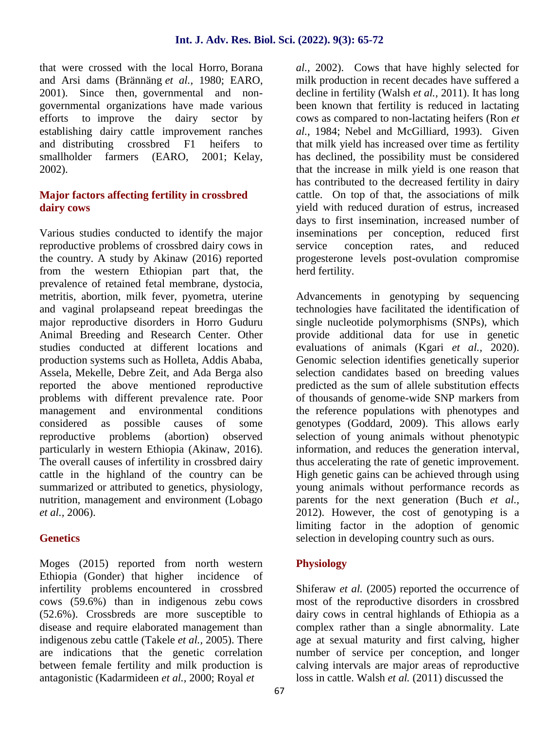that were crossed with the local Horro, Borana and Arsi dams (Brännäng *et al.,* 1980; EARO, 2001). Since then, governmental and non governmental organizations have made various efforts to improve the dairy sector by establishing dairy cattle improvement ranches and distributing crossbred F1 heifers to smallholder farmers (EARO, 2001; Kelay, 2002).

#### **Major factors affecting fertility in crossbred dairy cows**

Various studies conducted to identify the major reproductive problems of crossbred dairy cows in the country. A study by Akinaw (2016) reported from the western Ethiopian part that, the prevalence of retained fetal membrane, dystocia, metritis, abortion, milk fever, pyometra, uterine and vaginal prolapseand repeat breedingas the major reproductive disorders in Horro Guduru Animal Breeding and Research Center. Other studies conducted at different locations and production systems such as Holleta, Addis Ababa, Assela, Mekelle, Debre Zeit, and Ada Berga also reported the above mentioned reproductive problems with different prevalence rate. Poor management and environmental conditions considered as possible causes of some reproductive problems (abortion) observed particularly in western Ethiopia (Akinaw, 2016). The overall causes of infertility in crossbred dairy cattle in the highland of the country can be summarized or attributed to genetics, physiology, nutrition, management and environment (Lobago *et al.,* 2006).

#### **Genetics**

Moges (2015) reported from north western Ethiopia (Gonder) that higher incidence of infertility problems encountered in crossbred cows (59.6%) than in indigenous zebu cows (52.6%). Crossbreds are more susceptible to disease and require elaborated management than indigenous zebu cattle (Takele *et al.,* 2005). There are indications that the genetic correlation between female fertility and milk production is antagonistic (Kadarmideen *et al.,* 2000; Royal *et*

*al.,* 2002). Cows that have highly selected for milk production in recent decades have suffered a decline in fertility (Walsh *et al.,* 2011). It has long been known that fertility is reduced in lactating cows as compared to non-lactating heifers (Ron *et al.,* 1984; Nebel and McGilliard, 1993). Given that milk yield has increased over time as fertility has declined, the possibility must be considered that the increase in milk yield is one reason that has contributed to the decreased fertility in dairy cattle. On top of that, the associations of milk yield with reduced duration of estrus, increased days to first insemination, increased number of inseminations per conception, reduced first conception rates, and reduced progesterone levels post-ovulation compromise herd fertility.

Advancements in genotyping by sequencing technologies have facilitated the identification of single nucleotide polymorphisms (SNPs), which provide additional data for use in genetic evaluations of animals (Kgari *et al.,* 2020). Genomic selection identifies genetically superior selection candidates based on breeding values predicted as the sum of allele substitution effects of thousands of genome-wide SNP markers from the reference populations with phenotypes and genotypes (Goddard, 2009). This allows early selection of young animals without phenotypic information, and reduces the generation interval, thus accelerating the rate of genetic improvement. High genetic gains can be achieved through using young animals without performance records as parents for the next generation (Buch *et al.,* 2012). However, the cost of genotyping is a limiting factor in the adoption of genomic selection in developing country such as ours.

#### **Physiology**

Shiferaw *et al.* (2005) reported the occurrence of most of the reproductive disorders in crossbred dairy cows in central highlands of Ethiopia as a complex rather than a single abnormality. Late age at sexual maturity and first calving, higher number of service per conception, and longer calving intervals are major areas of reproductive loss in cattle. Walsh *et al.* (2011) discussed the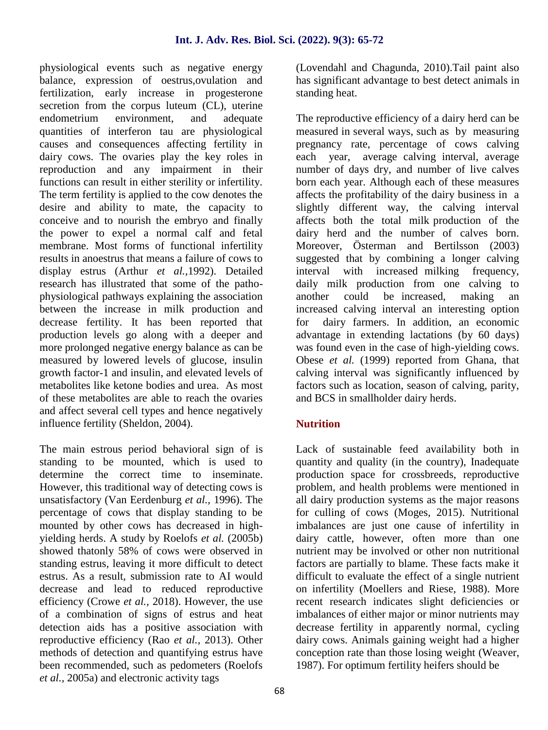physiological events such as negative energy balance, expression of oestrus,ovulation and fertilization, early increase in progesterone secretion from the corpus luteum (CL), uterine endometrium environment, and adequate quantities of interferon tau are physiological causes and consequences affecting fertility in dairy cows. The ovaries play the key roles in reproduction and any impairment in their functions can result in either sterility or infertility. The term fertility is applied to the cow denotes the desire and ability to mate, the capacity to conceive and to nourish the embryo and finally the power to expel a normal calf and fetal membrane. Most forms of functional infertility results in anoestrus that means a failure of cows to display estrus (Arthur *et al.,*1992). Detailed research has illustrated that some of the patho physiological pathways explaining the association between the increase in milk production and decrease fertility. It has been reported that production levels go along with a deeper and more prolonged negative energy balance as can be measured by lowered levels of glucose, insulin growth factor-1 and insulin, and elevated levels of metabolites like ketone bodies and urea. As most of these metabolites are able to reach the ovaries and affect several cell types and hence negatively influence fertility (Sheldon, 2004).

The main estrous period behavioral sign of is standing to be mounted, which is used to determine the correct time to inseminate. However, this traditional way of detecting cows is unsatisfactory (Van Eerdenburg *et al.,* 1996). The percentage of cows that display standing to be mounted by other cows has decreased in high yielding herds. A study by Roelofs *et al.* (2005b) showed thatonly 58% of cows were observed in standing estrus, leaving it more difficult to detect estrus. As a result, submission rate to AI would decrease and lead to reduced reproductive efficiency (Crowe *et al.,* 2018). However, the use of a combination of signs of estrus and heat detection aids has a positive association with reproductive efficiency (Rao *et al.,* 2013). Other methods of detection and quantifying estrus have been recommended, such as pedometers (Roelofs *et al.,* 2005a) and electronic activity tags

(Lovendahl and Chagunda, 2010).Tail paint also has significant advantage to best detect animals in standing heat.

The reproductive efficiency of a dairy herd can be measured in several ways, such as by measuring pregnancy rate, percentage of cows calving each year, average calving interval, average number of days dry, and number of live calves born each year. Although each of these measures affects the profitability of the dairy business in a slightly different way, the calving interval affects both the total milk production of the dairy herd and the number of calves born. Moreover, Österman and Bertilsson (2003) suggested that by combining a longer calving with increased milking frequency, daily milk production from one calving to could be increased, making an increased calving interval an interesting option for dairy farmers. In addition, an economic advantage in extending lactations (by 60 days) was found even in the case of high-yielding cows. Obese *et al.* (1999) reported from Ghana, that calving interval was significantly influenced by factors such as location, season of calving, parity, and BCS in smallholder dairy herds.

#### **Nutrition**

Lack of sustainable feed availability both in quantity and quality (in the country), Inadequate production space for crossbreeds, reproductive problem, and health problems were mentioned in all dairy production systems as the major reasons for culling of cows (Moges, 2015). Nutritional imbalances are just one cause of infertility in dairy cattle, however, often more than one nutrient may be involved or other non nutritional factors are partially to blame. These facts make it difficult to evaluate the effect of a single nutrient on infertility (Moellers and Riese, 1988). More recent research indicates slight deficiencies or imbalances of either major or minor nutrients may decrease fertility in apparently normal, cycling dairy cows. Animals gaining weight had a higher conception rate than those losing weight (Weaver, 1987). For optimum fertility heifers should be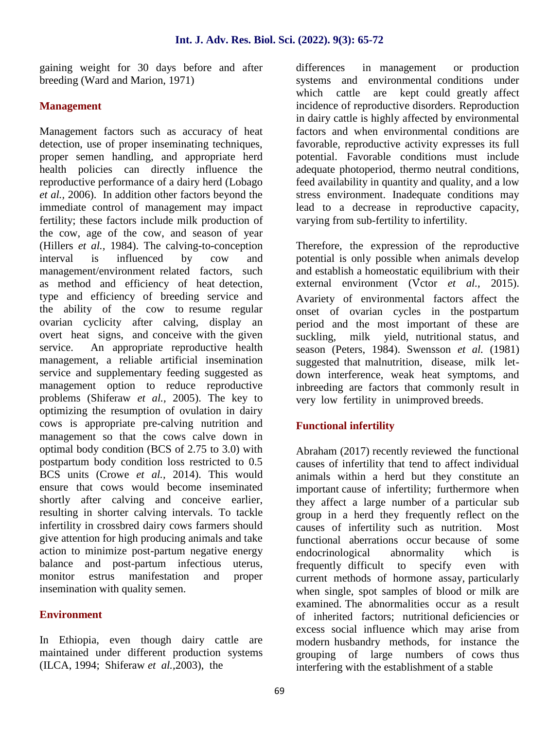gaining weight for 30 days before and after breeding (Ward and Marion, 1971)

#### **Management**

Management factors such as accuracy of heat detection, use of proper inseminating techniques, proper semen handling, and appropriate herd health policies can directly influence the reproductive performance of a dairy herd (Lobago *et al.,* 2006). In addition other factors beyond the immediate control of management may impact fertility; these factors include milk production of the cow, age of the cow, and season of year (Hillers *et al.,* 1984). The calving-to-conception interval is influenced by cow and management/environment related factors, such as method and efficiency of heat detection, type and efficiency of breeding service and the ability of the cow to resume regular ovarian cyclicity after calving, display an overt heat signs, and conceive with the given suckling. service. An appropriate reproductive health management, a reliable artificial insemination service and supplementary feeding suggested as management option to reduce reproductive problems (Shiferaw *et al.,* 2005). The key to optimizing the resumption of ovulation in dairy cows is appropriate pre-calving nutrition and management so that the cows calve down in optimal body condition (BCS of 2.75 to 3.0) with postpartum body condition loss restricted to 0.5 BCS units (Crowe *et al.,* 2014). This would ensure that cows would become inseminated shortly after calving and conceive earlier, resulting in shorter calving intervals. To tackle infertility in crossbred dairy cows farmers should give attention for high producing animals and take action to minimize post-partum negative energy balance and post-partum infectious uterus, monitor estrus manifestation and proper insemination with quality semen.

#### **Environment**

In Ethiopia, even though dairy cattle are maintained under different production systems (ILCA, 1994; Shiferaw *et al.,*2003), the

differences in management or production systems and environmental conditions under which cattle are kept could greatly affect incidence of reproductive disorders. Reproduction in dairy cattle is highly affected by environmental factors and when environmental conditions are favorable, reproductive activity expresses its full potential. Favorable conditions must include adequate photoperiod, thermo neutral conditions, feed availability in quantity and quality, and a low stress environment. Inadequate conditions may lead to a decrease in reproductive capacity, varying from sub-fertility to infertility.

Therefore, the expression of the reproductive potential is only possible when animals develop and establish a homeostatic equilibrium with their external environment (V<sup>ctor *et al.*, 2015).</sup> Avariety of environmental factors affect the onset of ovarian cycles in the postpartum period and the most important of these are milk yield, nutritional status, and season (Peters, 1984). Swensson *et al.* (1981) suggested that malnutrition, disease, milk let down interference, weak heat symptoms, and inbreeding are factors that commonly result in very low fertility in unimproved breeds.

#### **Functional infertility**

Abraham (2017) recently reviewed the functional causes of infertility that tend to affect individual animals within a herd but they constitute an important cause of infertility; furthermore when they affect a large number of a particular sub group in a herd they frequently reflect on the causes of infertility such as nutrition. Most functional aberrations occur because of some endocrinological abnormality which is frequently difficult to specify even with current methods of hormone assay, particularly when single, spot samples of blood or milk are examined. The abnormalities occur as a result of inherited factors; nutritional deficiencies or excess social influence which may arise from modern husbandry methods, for instance the grouping of large numbers of cows thus interfering with the establishment of a stable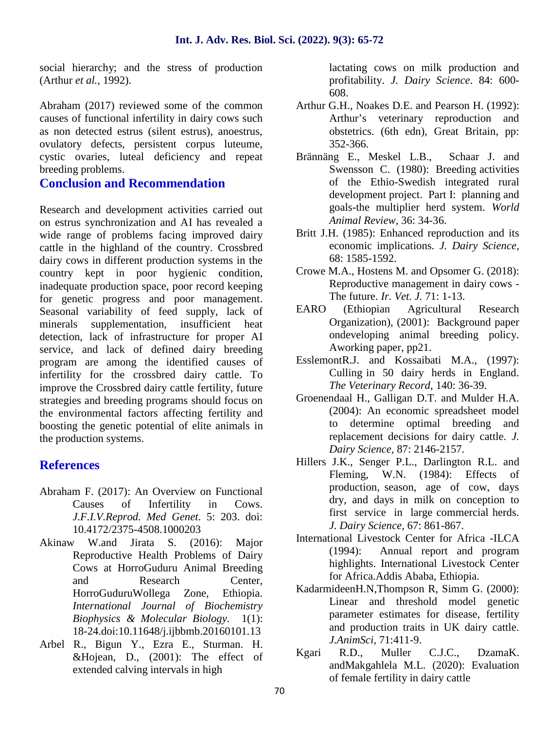social hierarchy; and the stress of production (Arthur *et al.,* 1992).

Abraham (2017) reviewed some of the common causes of functional infertility in dairy cows such as non detected estrus (silent estrus), anoestrus, ovulatory defects, persistent corpus luteume, cystic ovaries, luteal deficiency and repeat breeding problems.

#### **Conclusion and Recommendation**

Research and development activities carried out on estrus synchronization and AI has revealed a wide range of problems facing improved dairy cattle in the highland of the country. Crossbred dairy cows in different production systems in the country kept in poor hygienic condition, inadequate production space, poor record keeping for genetic progress and poor management. Seasonal variability of feed supply, lack of minerals supplementation, insufficient heat detection, lack of infrastructure for proper AI service, and lack of defined dairy breeding program are among the identified causes of infertility for the crossbred dairy cattle. To improve the Crossbred dairy cattle fertility, future strategies and breeding programs should focus on the environmental factors affecting fertility and boosting the genetic potential of elite animals in the production systems.

### **References**

- Abraham F. (2017): An Overview on Functional Causes of Infertility in Cows. *J.F.I.V.Reprod. Med Genet*. 5: 203. doi: 10.4172/2375-4508.1000203
- Akinaw W.and Jirata S. (2016): Major Reproductive Health Problems of Dairy Cows at HorroGuduru Animal Breeding and Research Center, HorroGuduruWollega Zone, Ethiopia. *International Journal of Biochemistry Biophysics & Molecular Biology.* 1(1): 18-24.doi:10.11648/j.ijbbmb.20160101.13
- Arbel R., Bigun Y., Ezra E., Sturman. H. &Hojean, D., (2001): The effect of extended calving intervals in high

lactating cows on milk production and profitability. *J. Dairy Science*. 84: 600- 608.

- Arthur G.H., Noakes D.E. and Pearson H. (1992): Arthur's veterinary reproduction and obstetrics. (6th edn), Great Britain, pp: 352-366.
- Brännäng E., Meskel L.B., Schaar J. and Swensson C. (1980): Breeding activities of the Ethio-Swedish integrated rural development project. Part I: planning and goals-the multiplier herd system. *World Animal Review,* 36: 34-36.
- Britt J.H. (1985): Enhanced reproduction and its economic implications. *J. Dairy Science,* 68: 1585-1592.
- Crowe M.A., Hostens M. and Opsomer G. (2018): Reproductive management in dairy cows - The future. *Ir. Vet. J.* 71: 1-13.
- EARO (Ethiopian Agricultural Research Organization), (2001): Background paper ondeveloping animal breeding policy. Aworking paper, pp21.
- EsslemontR.J. and Kossaibati M.A., (1997): Culling in 50 dairy herds in England. *The Veterinary Record*, 140: 36-39.
- Groenendaal H., Galligan D.T. and Mulder H.A. (2004): An economic spreadsheet model to determine optimal breeding and replacement decisions for dairy cattle. *J. Dairy Science,* 87: 2146-2157.
- Hillers J.K., Senger P.L., Darlington R.L. and Fleming, W.N. (1984): Effects of production, season, age of cow, days dry, and days in milk on conception to first service in large commercial herds. *J. Dairy Science,* 67: 861-867.
- International Livestock Center for Africa -ILCA (1994): Annual report and program highlights. International Livestock Center for Africa.Addis Ababa, Ethiopia.
- KadarmideenH.N,Thompson R, Simm G. (2000): Linear and threshold model genetic parameter estimates for disease, fertility and production traits in UK dairy cattle. *J.AnimSci*, 71:411-9.
- Kgari R.D., Muller C.J.C., DzamaK. andMakgahlela M.L. (2020): Evaluation of female fertility in dairy cattle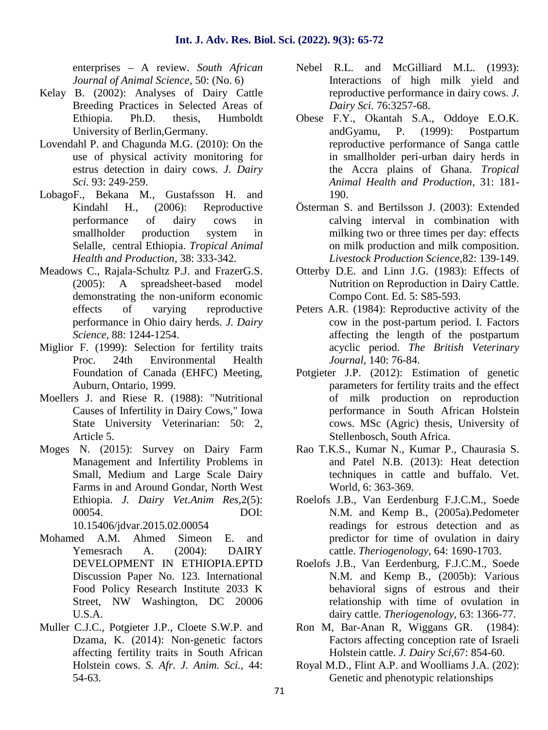enterprises – A review. *South African Journal of Animal Science,* 50: (No. 6)

- Kelay B. (2002): Analyses of Dairy Cattle Breeding Practices in Selected Areas of Ethiopia. Ph.D. thesis, Humboldt University of Berlin,Germany.
- Lovendahl P. and Chagunda M.G. (2010): On the use of physical activity monitoring for estrus detection in dairy cows. *J. Dairy Sci.* 93: 249-259.
- LobagoF., Bekana M., Gustafsson H. and Kindahl H., (2006): Reproductive performance of dairy cows in smallholder production system in Selalle, central Ethiopia. *Tropical Animal Health and Production,* 38: 333-342.
- Meadows C., Rajala-Schultz P.J. and FrazerG.S. (2005): A spreadsheet-based model demonstrating the non-uniform economic effects of varying reproductive performance in Ohio dairy herds. *J. Dairy Science,* 88: 1244-1254.
- Miglior F. (1999): Selection for fertility traits Proc. 24th Environmental Health Foundation of Canada (EHFC) Meeting, Auburn, Ontario, 1999.
- Moellers J. and Riese R. (1988): "Nutritional Causes of Infertility in Dairy Cows," Iowa State University Veterinarian: 50: 2, Article 5.
- Moges N. (2015): Survey on Dairy Farm Management and Infertility Problems in Small, Medium and Large Scale Dairy Farms in and Around Gondar, North West Ethiopia. *J. Dairy Vet.Anim Res,*2(5): 00054. DOI:

10.15406/jdvar.2015.02.00054

- Mohamed A.M. Ahmed Simeon E. and Yemesrach A. (2004): DAIRY DEVELOPMENT IN ETHIOPIA.EPTD Discussion Paper No. 123. International Food Policy Research Institute 2033 K Street, NW Washington, DC 20006 U.S.A.
- Muller C.J.C., Potgieter J.P., Cloete S.W.P. and Dzama, K. (2014): Non-genetic factors affecting fertility traits in South African Holstein cows. *S. Afr. J. Anim. Sci.,* 44: 54-63.
- Nebel R.L. and McGilliard M.L. (1993): Interactions of high milk yield and reproductive performance in dairy cows. *J. Dairy Sci.* 76:3257-68.
- Obese F.Y., Okantah S.A., Oddoye E.O.K. andGyamu, P. (1999): Postpartum reproductive performance of Sanga cattle in smallholder peri-urban dairy herds in the Accra plains of Ghana. *Tropical Animal Health and Production*, 31: 181- 190.
- Österman S. and Bertilsson J. (2003): Extended calving interval in combination with milking two or three times per day: effects on milk production and milk composition. *Livestock Production Science,*82: 139-149.
- Otterby D.E. and Linn J.G. (1983): Effects of Nutrition on Reproduction in Dairy Cattle. Compo Cont. Ed. 5: S85-593.
- Peters A.R. (1984): Reproductive activity of the cow in the post-partum period. I. Factors affecting the length of the postpartum acyclic period. *The British Veterinary Journal,* 140: 76-84.
- Potgieter J.P. (2012): Estimation of genetic parameters for fertility traits and the effect of milk production on reproduction performance in South African Holstein cows. MSc (Agric) thesis, University of Stellenbosch, South Africa.
- Rao T.K.S., Kumar N., Kumar P., Chaurasia S. and Patel N.B. (2013): Heat detection techniques in cattle and buffalo. Vet. World, 6: 363-369.
- Roelofs J.B., Van Eerdenburg F.J.C.M., Soede N.M. and Kemp B., (2005a).Pedometer readings for estrous detection and as predictor for time of ovulation in dairy cattle. *Theriogenology,* 64: 1690-1703.
- Roelofs J.B., Van Eerdenburg, F.J.C.M., Soede N.M. and Kemp B., (2005b): Various behavioral signs of estrous and their relationship with time of ovulation in dairy cattle. *Theriogenology,* 63: 1366-77.
- Ron M, Bar-Anan R, Wiggans GR. (1984): Factors affecting conception rate of Israeli Holstein cattle. *J. Dairy Sci*,67: 854-60.
- Royal M.D., Flint A.P. and Woolliams J.A. (202): Genetic and phenotypic relationships